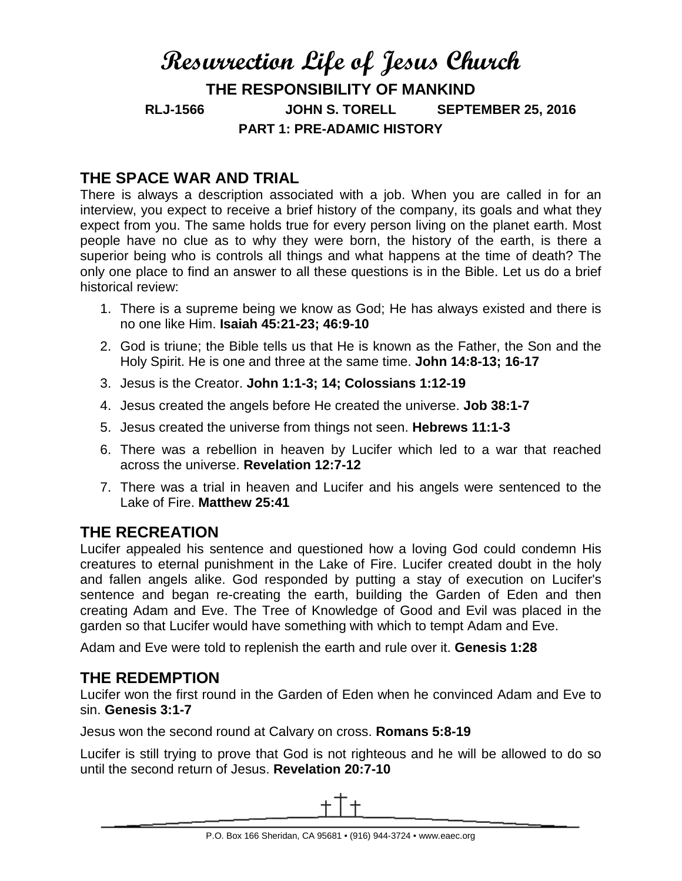# **Resurrection Life of Jesus Church THE RESPONSIBILITY OF MANKIND RLJ-1566 JOHN S. TORELL SEPTEMBER 25, 2016 PART 1: PRE-ADAMIC HISTORY**

## **THE SPACE WAR AND TRIAL**

There is always a description associated with a job. When you are called in for an interview, you expect to receive a brief history of the company, its goals and what they expect from you. The same holds true for every person living on the planet earth. Most people have no clue as to why they were born, the history of the earth, is there a superior being who is controls all things and what happens at the time of death? The only one place to find an answer to all these questions is in the Bible. Let us do a brief historical review:

- 1. There is a supreme being we know as God; He has always existed and there is no one like Him. **Isaiah 45:21-23; 46:9-10**
- 2. God is triune; the Bible tells us that He is known as the Father, the Son and the Holy Spirit. He is one and three at the same time. **John 14:8-13; 16-17**
- 3. Jesus is the Creator. **John 1:1-3; 14; Colossians 1:12-19**
- 4. Jesus created the angels before He created the universe. **Job 38:1-7**
- 5. Jesus created the universe from things not seen. **Hebrews 11:1-3**
- 6. There was a rebellion in heaven by Lucifer which led to a war that reached across the universe. **Revelation 12:7-12**
- 7. There was a trial in heaven and Lucifer and his angels were sentenced to the Lake of Fire. **Matthew 25:41**

### **THE RECREATION**

Lucifer appealed his sentence and questioned how a loving God could condemn His creatures to eternal punishment in the Lake of Fire. Lucifer created doubt in the holy and fallen angels alike. God responded by putting a stay of execution on Lucifer's sentence and began re-creating the earth, building the Garden of Eden and then creating Adam and Eve. The Tree of Knowledge of Good and Evil was placed in the garden so that Lucifer would have something with which to tempt Adam and Eve.

Adam and Eve were told to replenish the earth and rule over it. **Genesis 1:28**

#### **THE REDEMPTION**

Lucifer won the first round in the Garden of Eden when he convinced Adam and Eve to sin. **Genesis 3:1-7**

Jesus won the second round at Calvary on cross. **Romans 5:8-19**

Lucifer is still trying to prove that God is not righteous and he will be allowed to do so until the second return of Jesus. **Revelation 20:7-10**